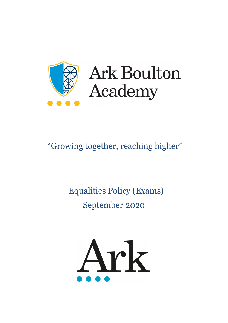

# **Ark Boulton** Academy

# "Growing together, reaching higher"

# Equalities Policy (Exams) September 2020

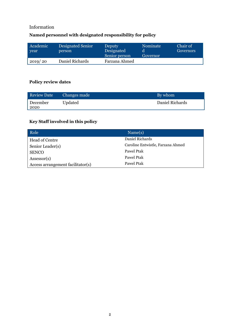# Information

# **Named personnel with designated responsibility for policy**

| Academic<br>year | <b>Designated Senior</b><br>person | Deputy<br>Designated<br>Senior person | Nominate<br>Governor | Chair of<br>Governors |
|------------------|------------------------------------|---------------------------------------|----------------------|-----------------------|
| 2019/20          | Daniel Richards                    | Farzana Ahmed                         |                      |                       |

# **Policy review dates**

| <b>Review Date</b> | Changes made | By whom         |
|--------------------|--------------|-----------------|
| December<br>  2020 | Updated      | Daniel Richards |

# **Key Staff involved in this policy**

| Role                              | Name(s)                           |
|-----------------------------------|-----------------------------------|
| Head of Centre                    | Daniel Richards                   |
| Senior Leader(s)                  | Caroline Entwistle, Farzana Ahmed |
| <b>SENCO</b>                      | Pawel Ptak                        |
| Assessor(s)                       | Pawel Ptak                        |
| Access arrangement facilitator(s) | Pawel Ptak                        |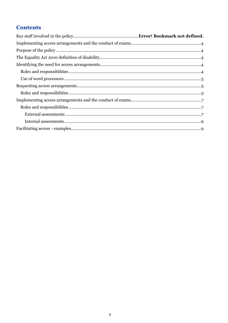# **Contents**

| $\textbf{Required access arrangements} \textbf{\texttt{m}} = \textbf{0.50} \textbf{0.000} \textbf{0.000} \textbf{0.000} \textbf{0.000} \textbf{0.000} \textbf{0.000} \textbf{0.0000} \textbf{0.0000} \textbf{0.0000} \textbf{0.0000} \textbf{0.0000} \textbf{0.0000} \textbf{0.0000} \textbf{0.0000} \textbf{0.0000} \textbf{0.0000} \textbf{0.0000} \textbf{0.0000} \$ |  |
|-------------------------------------------------------------------------------------------------------------------------------------------------------------------------------------------------------------------------------------------------------------------------------------------------------------------------------------------------------------------------|--|
|                                                                                                                                                                                                                                                                                                                                                                         |  |
|                                                                                                                                                                                                                                                                                                                                                                         |  |
|                                                                                                                                                                                                                                                                                                                                                                         |  |
|                                                                                                                                                                                                                                                                                                                                                                         |  |
|                                                                                                                                                                                                                                                                                                                                                                         |  |
|                                                                                                                                                                                                                                                                                                                                                                         |  |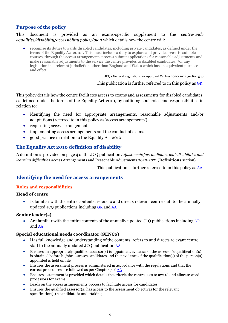# <span id="page-3-0"></span>**Purpose of the policy**

#### This document is provided as an exams-specific supplement to the *centre-wide equalities/disability/accessibility policy/plan* which details how the centre will:

• recognise its duties towards disabled candidates, including private candidates, as defined under the terms of the Equality Act 2010†. This must include a duty to explore and provide access to suitable courses, through the access arrangements process submit applications for reasonable adjustments and make reasonable adjustments to the service the centre provides to disabled candidates; †or any legislation in a relevant jurisdiction other than England and Wales which has an equivalent purpose and effect

JCQ's General Regulations for Approved Centres 2020-2021 (section 5.4)

This publication is further referred to in this policy as [GR.](http://www.jcq.org.uk/exams-office/general-regulations)

This policy details how the centre facilitates access to exams and assessments for disabled candidates, as defined under the terms of the Equality Act 2010, by outlining staff roles and responsibilities in relation to:

- identifying the need for appropriate arrangements, reasonable adjustments and/or adaptations (referred to in this policy as 'access arrangements')
- requesting access arrangements
- implementing access arrangements and the conduct of exams
- good practice in relation to the Equality Act 2010

### <span id="page-3-1"></span>**The Equality Act 2010 definition of disability**

A definition is provided on page 4 of the JCQ publication *Adjustments for candidates with disabilities and learning difficulties* Access Arrangements and Reasonable Adjustments 2020-2021 (**Definitions** section).

This publication is further referred to in this policy as [AA.](http://www.jcq.org.uk/exams-office/access-arrangements-and-special-consideration/regulations-and-guidance)

#### <span id="page-3-2"></span>**Identifying the need for access arrangements**

#### <span id="page-3-3"></span>**Roles and responsibilities**

#### **Head of centre**

Is familiar with the entire contents, refers to and directs relevant centre staff to the annually updated JCQ publications including [GR](http://www.jcq.org.uk/exams-office/general-regulations) and [AA](http://www.jcq.org.uk/exams-office/access-arrangements-and-special-consideration/regulations-and-guidance)

#### **Senior leader(s)**

Are familiar with the entire contents of the annually updated JCQ publications including [GR](http://www.jcq.org.uk/exams-office/general-regulations) and [AA](http://www.jcq.org.uk/exams-office/access-arrangements-and-special-consideration/regulations-and-guidance)

#### **Special educational needs coordinator (SENCo)**

- Has full knowledge and understanding of the contents, refers to and directs relevant centre staff to the annually updated JCQ publication [AA](http://www.jcq.org.uk/exams-office/access-arrangements-and-special-consideration/regulations-and-guidance)
- Ensures an appropriately qualified assessor(s) is appointed, evidence of the assessor's qualification(s) is obtained before he/she assesses candidates and that evidence of the qualification(s) of the person(s) appointed is held on file
- Ensures the assessment process is administered in accordance with the regulations and that the correct procedures are followed as per Chapter 7 of [AA](http://www.jcq.org.uk/exams-office/access-arrangements-and-special-consideration/regulations-and-guidance)
- Ensures a statement is provided which details the criteria the centre uses to award and allocate word processors for exams
- Leads on the access arrangements process to facilitate access for candidates
- Ensures the qualified assessor(s) has access to the assessment objectives for the relevant specification(s) a candidate is undertaking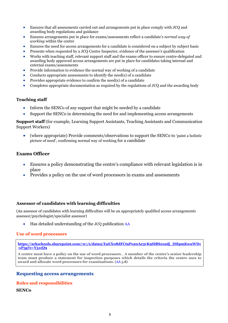- Ensures that all assessments carried out and arrangements put in place comply with JCQ and awarding body regulations and guidance
- Ensures arrangements put in place for exams/assessments reflect a candidate's *normal way of working* within the centre
- Ensures the need for access arrangements for a candidate is considered on a subject by subject basis
- Presents when requested by a JCQ Centre Inspector, evidence of the assessor's qualification
- Works with teaching staff, relevant support staff and the exams officer to ensure centre-delegated and awarding body approved access arrangements are put in place for candidates taking internal and external exams/assessments
- Provide information to evidence the normal way of working of a candidate
- Conducts appropriate assessments to identify the need(s) of a candidate
- Provides appropriate evidence to confirm the need(s) of a candidate
- Completes appropriate documentation as required by the regulations of JCQ and the awarding body

#### **Teaching staff**

- Inform the SENCo of any support that might be needed by a candidate
- Support the SENCo in determining the need for and implementing access arrangements

**Support staff** (for example, Learning Support Assistants, Teaching Assistants and Communication Support Workers)

• (where appropriate) Provide comments/observations to support the SENCo to 'paint a holistic picture of need', confirming normal way of working for a candidate

#### **Exams Officer**

- Ensures a policy demonstrating the centre's compliance with relevant legislation is in place
- Provides a policy on the use of word processors in exams and assessments

#### **Assessor of candidates with learning difficulties**

(An assessor of candidates with learning difficulties will be an appropriately qualified access arrangements assessor/psychologist/specialist assessor)

• Has detailed understanding of the JCQ publication [AA](http://www.jcq.org.uk/exams-office/access-arrangements-and-special-consideration/regulations-and-guidance)

#### <span id="page-4-0"></span>**Use of word processors**

**[https://arkschools.sharepoint.com/:w:/s/data2/EaEX08dFCt9Po20Ae3vK9SIBSzxndj\\_DHpmKwuWD1](https://arkschools.sharepoint.com/:w:/s/data2/EaEX08dFCt9Po20Ae3vK9SIBSzxndj_DHpmKwuWD1-xP5g?e=Y51zQ9) [-xP5g?e=Y51zQ9](https://arkschools.sharepoint.com/:w:/s/data2/EaEX08dFCt9Po20Ae3vK9SIBSzxndj_DHpmKwuWD1-xP5g?e=Y51zQ9)**

**A centre must have a policy on the use of word processors**… **A member of the centre's senior leadership team must produce a statement for inspection purposes which details the criteria the centre uses to award and allocate word processors for examinations.** [\(AA](http://www.jcq.org.uk/exams-office/access-arrangements-and-special-consideration/regulations-and-guidance) 5.8)

#### <span id="page-4-1"></span>**Requesting access arrangements**

#### <span id="page-4-2"></span>**Roles and responsibilities**

#### **SENCo**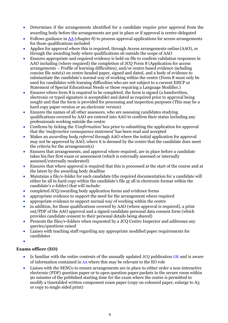- Determines if the arrangements identified for a candidate require prior approval from the awarding body before the arrangements are put in place or if approval is centre-delegated
- Follows guidance i[n AA](http://www.jcq.org.uk/exams-office/access-arrangements-and-special-consideration) (chapter 8) to process approval applications for access arrangements for those qualifications included
- Applies for approval where this is required, through Access arrangements online (AAO), or through the awarding body where qualifications sit outside the scope of AAO
- Ensures appropriate and required evidence is held on file to confirm validation responses in AAO including (where required) the completion of JCQ Form 8 (Application for access arrangements – Profile of learning difficulties), and/or centre based evidence including concise file note(s) on centre headed paper, signed and dated, and a body of evidence to substantiate the candidate's normal way of working within the centre (Form 8 must only be used for candidates with learning difficulties who are not subject to a current EHCP or Statement of Special Educational Needs or those requiring a Language Modifier.)
- Ensures where form 8 is required to be completed, the form is signed (a handwritten, electronic or typed signature is acceptable) and dated as required prior to approval being sought and that the form is provided for processing and inspection purposes (This may be a hard copy paper version or an electronic version)
- Ensures the names of all other assessors, who are assessing candidates studying qualifications covered by AAO are entered into AAO to confirm their status including any professionals working outside the centre
- Confirms by ticking the *'Confirmation'* box prior to submitting the application for approval that the *'malpractice consequence statement'* has been read and accepted
- Makes an *awarding body referral* through AAO where the initial application for approval may not be approved by AAO, where it is deemed by the centre that the candidate does meet the criteria for the arrangement(s)
- Ensures that arrangements, and approval where required, are in place before a candidate takes his/her first exam or assessment (which is externally assessed or internally assessed/externally moderated)
- Ensures that where approval is required that this is processed at the start of the course and at the latest by the awarding body deadline
- Maintains a file/e-folder for each candidate (the required documentation for a candidate will either be all in hard copy within the candidate's file or all in electronic format within the candidate's e-folder) that will include:
- completed JCQ/awarding body application forms and evidence forms
- appropriate evidence to support the need for the arrangement where required
- appropriate evidence to support normal way of working within the centre
- in addition, for those qualifications covered by AAO (where approval is required), a print out/PDF of the AAO approval and a signed candidate personal data consent form (which provides candidate consent to their personal details being shared)
- Presents the files/e-folders when requested by a JCO Centre Inspector and addresses any queries/questions raised
- Liaises with teaching staff regarding any appropriate modified paper requirements for candidates
- •

#### **Exams officer (EO)**

- Is familiar with the entire contents of the annually updated JCQ publication [GR](http://www.jcq.org.uk/exams-office/general-regulations) and is aware of information contained in [AA](http://www.jcq.org.uk/exams-office/access-arrangements-and-special-consideration/regulations-and-guidance) where this may be relevant to the EO role
- Liaises with the SENCo to ensure arrangements are in place to either order a non-interactive electronic (PDF) question paper or to open question paper packets in the secure room within 90 minutes of the published starting time for the exam where the centre is permitted to modify a timetabled written component exam paper (copy on coloured paper, enlarge to A3 or copy to single sided print)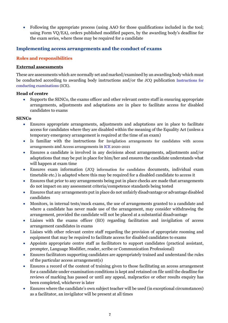• Following the appropriate process (using AAO for those qualifications included in the tool; using Form VQ/EA), orders published modified papers, by the awarding body's deadline for the exam series, where these may be required for a candidate

#### <span id="page-6-0"></span>**Implementing access arrangements and the conduct of exams**

#### <span id="page-6-1"></span>**Roles and responsibilities**

#### <span id="page-6-2"></span>**External assessments**

These are assessments which are normally set and marked/examined by an awarding body which must be conducted according to awarding body instructions and/or the JCQ publication [Instructions for](http://www.jcq.org.uk/exams-office/ice---instructions-for-conducting-examinations)  [conducting examinations](http://www.jcq.org.uk/exams-office/ice---instructions-for-conducting-examinations) (ICE).

#### **Head of centre**

• Supports the SENCo, the exams officer and other relevant centre staff in ensuring appropriate arrangements, adjustments and adaptations are in place to facilitate access for disabled candidates to exams

#### **SENCo**

- Ensures appropriate arrangements, adjustments and adaptations are in place to facilitate access for candidates where they are disabled within the meaning of the Equality Act (unless a temporary emergency arrangement is required at the time of an exam)
- Is familiar with the instructions for Invigilation arrangements for candidates with access arrangements and Access arrangements in [ICE](http://www.jcq.org.uk/exams-office/ice---instructions-for-conducting-examinations) 2020-2021
- Ensures a candidate is involved in any decisions about arrangements, adjustments and/or adaptations that may be put in place for him/her and ensures the candidate understands what will happen at exam time
- Ensures exam information (JCQ information for candidates documents, individual exam timetable etc.) is adapted where this may be required for a disabled candidate to access it
- Ensures that prior to any arrangements being put in place checks are made that arrangements do not impact on any assessment criteria/competence standards being tested
- Ensures that any arrangements put in place do not unfairly disadvantage or advantage disabled candidates
- Monitors, in internal tests/mock exams, the use of arrangements granted to a candidate and where a candidate has never made use of the arrangement, may consider withdrawing the arrangement, provided the candidate will not be placed at a substantial disadvantage
- Liaises with the exams officer (EO) regarding facilitation and invigilation of access arrangement candidates in exams
- Liaises with other relevant centre staff regarding the provision of appropriate rooming and equipment that may be required to facilitate access for disabled candidates to exams
- Appoints appropriate centre staff as facilitators to support candidates (practical assistant, prompter, Language Modifier, reader, scribe or Communication Professional)
- Ensures facilitators supporting candidates are appropriately trained and understand the rules of the particular access arrangement(s)
- Ensures a record of the content of training given to those facilitating an access arrangement for a candidate under examination conditions is kept and retained on file until the deadline for reviews of marking has passed or until any appeal, malpractice or other results enquiry has been completed, whichever is later
- Ensures where the candidate's own subject teacher will be used (in exceptional circumstances) as a facilitator, an invigilator will be present at all times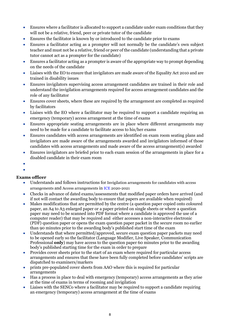- Ensures where a facilitator is allocated to support a candidate under exam conditions that they will not be a relative, friend, peer or private tutor of the candidate
- Ensures the facilitator is known by or introduced to the candidate prior to exams
- Ensures a facilitator acting as a prompter will not normally be the candidate's own subject teacher and must not be a relative, friend or peer of the candidate (understanding that a private tutor cannot act as a prompter for the candidate)
- Ensures a facilitator acting as a prompter is aware of the appropriate way to prompt depending on the needs of the candidate
- Liaises with the EO to ensure that invigilators are made aware of the Equality Act 2010 and are trained in disability issues
- Ensures invigilators supervising access arrangement candidates are trained in their role and understand the invigilation arrangements required for access arrangement candidates and the role of any facilitator
- Ensures cover sheets, where these are required by the arrangement are completed as required by facilitators
- Liaises with the EO where a facilitator may be required to support a candidate requiring an emergency (temporary) access arrangement at the time of exams
- Ensures appropriate seating arrangements are in place where different arrangements may need to be made for a candidate to facilitate access to his/her exams
- Ensures candidates with access arrangements are identified on exam room seating plans and invigilators are made aware of the arrangements awarded and invigilators informed of those candidates with access arrangements and made aware of the access arrangement(s) awarded
- Ensures invigilators are briefed prior to each exam session of the arrangements in place for a disabled candidate in their exam room
- •
- •

# **Exams officer**

- Understands and follows instructions for Invigilation arrangements for candidates with access arrangements and Access arrangements in [ICE](http://www.jcq.org.uk/exams-office/ice---instructions-for-conducting-examinations) 2020-2021
- Checks in advance of dated exams/assessments that modified paper orders have arrived (and if not will contact the awarding body to ensure that papers are available when required)
- Makes modifications that are permitted by the centre (a question paper copied onto coloured paper, an A4 to A3 enlarged paper or a paper printed on single sheets or where a question paper may need to be scanned into PDF format where a candidate is approved the use of a computer reader) that may be required and either accesses a non-interactive electronic (PDF) question paper or opens the exam question paper packet in the secure room no earlier than 90 minutes prior to the awarding body's published start time of the exam
- Understands that where permitted/approved, secure exam question paper packets may need to be opened early so the facilitator (Language Modifier, Live Speaker, Communication Professional **only**) may have access to the question paper 60 minutes prior to the awarding body's published starting time for the exam in order to prepare
- Provides cover sheets prior to the start of an exam where required for particular access arrangements and ensures that these have been fully completed before candidates' scripts are dispatched to examiners/markers
- prints pre-populated cover sheets from AAO where this is required for particular arrangements
- Has a process in place to deal with emergency (temporary) access arrangements as they arise at the time of exams in terms of rooming and invigilation
- Liaises with the SENCo where a facilitator may be required to support a candidate requiring an emergency (temporary) access arrangement at the time of exams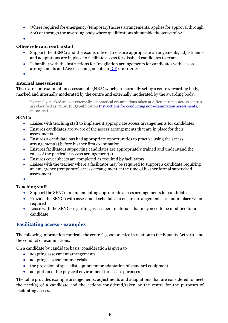- Where required for emergency (temporary) access arrangements, applies for approval through AAO or through the awarding body where qualifications sit outside the scope of AAO
- •

#### **Other relevant centre staff**

- Support the SENCo and the exams officer to ensure appropriate arrangements, adjustments and adaptations are in place to facilitate access for disabled candidates to exams
- Is familiar with the instructions for Invigilation arrangements for candidates with access arrangements and Access arrangements in [ICE](http://www.jcq.org.uk/exams-office/ice---instructions-for-conducting-examinations) 2020-2021
- •

#### <span id="page-8-0"></span>**Internal assessments**

These are non-examination assessments (NEA) which are normally set by a centre/awarding body, marked and internally moderated by the centre and externally moderated by the awarding body.

Externally marked and/or externally set practical examinations taken at different times across centres are classified as 'NEA'. (JCQ publication [Instructions for conducting non-examination assessments](http://www.jcq.org.uk/exams-office/non-examination-assessments)*,*  Foreword)

#### **SENCo**

- Liaises with teaching staff to implement appropriate access arrangements for candidates
- Ensures candidates are aware of the access arrangements that are in place for their assessments
- Ensures a candidate has had appropriate opportunities to practise using the access arrangement(s) before his/her first examination
- Ensures facilitators supporting candidates are appropriately trained and understand the rules of the particular access arrangement(s)
- Ensures cover sheets are completed as required by facilitators
- Liaises with the teacher where a facilitator may be required to support a candidate requiring an emergency (temporary) access arrangement at the time of his/her formal supervised assessment
- •

# **Teaching staff**

- Support the SENCo in implementing appropriate access arrangements for candidates
- Provide the SENCo with assessment schedules to ensure arrangements are put in place when required
- Liaise with the SENCo regarding assessment materials that may need to be modified for a candidate

#### <span id="page-8-1"></span>**Facilitating access - examples**

The following information confirms the centre's good practice in relation to the Equality Act 2010 and the conduct of examinations.

On a candidate by candidate basis, consideration is given to

- adapting assessment arrangements
- adapting assessment materials
- the provision of specialist equipment or adaptation of standard equipment
- adaptation of the physical environment for access purposes

The table provides example arrangements, adjustments and adaptations that are considered to meet the need(s) of a candidate and the actions considered/taken by the centre for the purposes of facilitating access.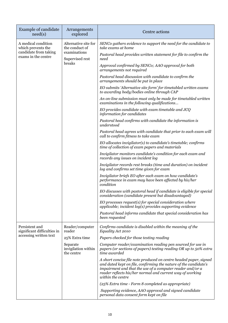| <b>Example of candidate</b><br>need(s)                                                    | Arrangements<br>explored                                                            | Centre actions                                                                                                                                                                                                                                                                       |
|-------------------------------------------------------------------------------------------|-------------------------------------------------------------------------------------|--------------------------------------------------------------------------------------------------------------------------------------------------------------------------------------------------------------------------------------------------------------------------------------|
| A medical condition<br>which prevents the<br>candidate from taking<br>exams in the centre | Alternative site for<br>the conduct of<br>examinations<br>Supervised rest<br>breaks | SENCo gathers evidence to support the need for the candidate to<br>take exams at home                                                                                                                                                                                                |
|                                                                                           |                                                                                     | Pastoral head provides written statement for file to confirm the<br>need                                                                                                                                                                                                             |
|                                                                                           |                                                                                     | Approval confirmed by SENCo; AAO approval for both<br>arrangements not required                                                                                                                                                                                                      |
|                                                                                           |                                                                                     | Pastoral head discussion with candidate to confirm the<br>arrangements should be put in place                                                                                                                                                                                        |
|                                                                                           |                                                                                     | EO submits 'Alternative site form' for timetabled written exams<br>to awarding body/bodies online through CAP                                                                                                                                                                        |
|                                                                                           |                                                                                     | An on-line submission must only be made for timetabled written<br>examinations in the following qualifications                                                                                                                                                                       |
|                                                                                           |                                                                                     | EO provides candidate with exam timetable and JCQ<br>information for candidates                                                                                                                                                                                                      |
|                                                                                           |                                                                                     | Pastoral head confirms with candidate the information is<br>understood                                                                                                                                                                                                               |
|                                                                                           |                                                                                     | Pastoral head agrees with candidate that prior to each exam will<br>call to confirm fitness to take exam                                                                                                                                                                             |
|                                                                                           |                                                                                     | EO allocates invigilator(s) to candidate's timetable; confirms<br>time of collection of exam papers and materials                                                                                                                                                                    |
|                                                                                           |                                                                                     | Invigilator monitors candidate's condition for each exam and<br>records any issues on incident log                                                                                                                                                                                   |
|                                                                                           |                                                                                     | Invigilator records rest breaks (time and duration) on incident<br>log and confirms set time given for exam                                                                                                                                                                          |
|                                                                                           |                                                                                     | Invigilator briefs EO after each exam on how candidate's<br>performance in exam may have been affected by his/her<br>condition                                                                                                                                                       |
|                                                                                           |                                                                                     | EO discusses with pastoral head if candidate is eligible for special<br>consideration (candidate present but disadvantaged)                                                                                                                                                          |
|                                                                                           |                                                                                     | EO processes request(s) for special consideration where<br>$applicable; incident log(s) provides supporting evidence$                                                                                                                                                                |
|                                                                                           |                                                                                     | Pastoral head informs candidate that special consideration has<br>been requested                                                                                                                                                                                                     |
| Persistent and<br>significant difficulties in<br>accessing written text                   | Reader/computer<br>reader                                                           | Confirms candidate is disabled within the meaning of the<br>Equality Act 2010                                                                                                                                                                                                        |
|                                                                                           | 25% Extra time<br>Separate<br>invigilation within<br>the centre                     | Papers checked for those testing reading                                                                                                                                                                                                                                             |
|                                                                                           |                                                                                     | Computer reader/examination reading pen sourced for use in<br>papers (or sections of papers) testing reading OR up to 50% extra<br>time awarded                                                                                                                                      |
|                                                                                           |                                                                                     | A short concise file note produced on centre headed paper, signed<br>and dated kept on file, confirming the nature of the candidate's<br>impairment and that the use of a computer reader and/or a<br>reader reflects his/her normal and current way of working<br>within the centre |
|                                                                                           |                                                                                     | (25% Extra time - Form 8 completed as appropriate)                                                                                                                                                                                                                                   |
|                                                                                           |                                                                                     | Supporting evidence, AAO approval and signed candidate<br>personal data consent form kept on file                                                                                                                                                                                    |